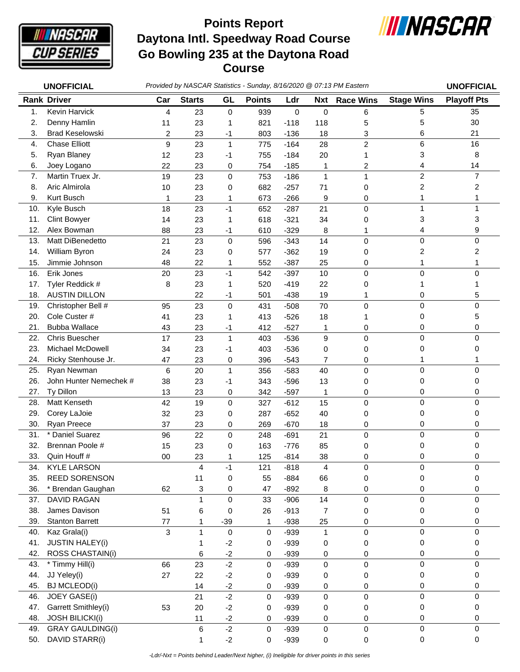

## **Daytona Intl. Speedway Road Course Go Bowling 235 at the Daytona Road Course Points Report**



|     | <b>UNOFFICIAL</b>       |        |               |              | Provided by NASCAR Statistics - Sunday, 8/16/2020 @ 07:13 PM Eastern |             |              |                  |                   | <b>UNOFFICIAL</b>   |
|-----|-------------------------|--------|---------------|--------------|----------------------------------------------------------------------|-------------|--------------|------------------|-------------------|---------------------|
|     | <b>Rank Driver</b>      | Car    | <b>Starts</b> | GL           | <b>Points</b>                                                        | Ldr         | <b>Nxt</b>   | <b>Race Wins</b> | <b>Stage Wins</b> | <b>Playoff Pts</b>  |
| 1.  | Kevin Harvick           | 4      | 23            | 0            | 939                                                                  | $\mathbf 0$ | $\pmb{0}$    | 6                | 5                 | 35                  |
| 2.  | Denny Hamlin            | 11     | 23            | 1            | 821                                                                  | $-118$      | 118          | 5                | 5                 | 30                  |
| 3.  | <b>Brad Keselowski</b>  | 2      | 23            | $-1$         | 803                                                                  | $-136$      | 18           | 3                | 6                 | 21                  |
| 4.  | <b>Chase Elliott</b>    | 9      | 23            | $\mathbf{1}$ | 775                                                                  | $-164$      | 28           | $\overline{c}$   | 6                 | 16                  |
| 5.  | Ryan Blaney             | 12     | 23            | -1           | 755                                                                  | $-184$      | 20           | 1                | 3                 | 8                   |
| 6.  | Joey Logano             | 22     | 23            | 0            | 754                                                                  | $-185$      | 1            | 2                | 4                 | 14                  |
| 7.  | Martin Truex Jr.        | 19     | 23            | $\mathbf 0$  | 753                                                                  | $-186$      | $\mathbf{1}$ | 1                | $\overline{c}$    | $\overline{7}$      |
| 8.  | Aric Almirola           | 10     | 23            | 0            | 682                                                                  | $-257$      | 71           | 0                | 2                 | 2                   |
| 9.  | Kurt Busch              | 1      | 23            | 1            | 673                                                                  | $-266$      | 9            | 0                | 1                 | 1                   |
| 10. | Kyle Busch              | 18     | 23            | $-1$         | 652                                                                  | $-287$      | 21           | 0                | 1                 | 1                   |
| 11. | <b>Clint Bowyer</b>     | 14     | 23            | 1            | 618                                                                  | $-321$      | 34           | 0                | 3                 | 3                   |
| 12. | Alex Bowman             | 88     | 23            | $-1$         | 610                                                                  | $-329$      | 8            | 1                | 4                 | 9                   |
| 13. | Matt DiBenedetto        | 21     | 23            | 0            | 596                                                                  | $-343$      | 14           | 0                | $\pmb{0}$         | $\mathbf 0$         |
| 14. | William Byron           | 24     | 23            | 0            | 577                                                                  | $-362$      | 19           | 0                | 2                 | 2                   |
| 15. | Jimmie Johnson          | 48     | 22            | 1            | 552                                                                  | $-387$      | 25           | 0                | 1                 | 1                   |
| 16. | Erik Jones              | 20     | 23            | $-1$         | 542                                                                  | $-397$      | 10           | 0                | $\mathbf 0$       | 0                   |
| 17. | Tyler Reddick #         | 8      | 23            | 1            | 520                                                                  | $-419$      | 22           | 0                | 1                 |                     |
| 18. | <b>AUSTIN DILLON</b>    |        | 22            | $-1$         | 501                                                                  | $-438$      | 19           | 1                | 0                 | 5                   |
| 19. | Christopher Bell #      | 95     | 23            | $\pmb{0}$    | 431                                                                  | $-508$      | 70           | 0                | $\mathbf 0$       | 0                   |
| 20. | Cole Custer #           | 41     | 23            | 1            | 413                                                                  | $-526$      | 18           | 1                | 0                 | 5                   |
| 21. | <b>Bubba Wallace</b>    | 43     | 23            | $-1$         | 412                                                                  | $-527$      | 1            | 0                | 0                 | 0                   |
| 22. | <b>Chris Buescher</b>   | 17     | 23            | $\mathbf{1}$ | 403                                                                  | $-536$      | 9            | 0                | $\mathbf 0$       | $\Omega$            |
| 23. | <b>Michael McDowell</b> | 34     | 23            | -1           | 403                                                                  | $-536$      | 0            | 0                | 0                 | 0                   |
| 24. | Ricky Stenhouse Jr.     | 47     | 23            | 0            | 396                                                                  | $-543$      | 7            | 0                | 1                 | 1                   |
| 25. | Ryan Newman             | 6      | 20            | $\mathbf{1}$ | 356                                                                  | $-583$      | 40           | 0                | $\mathbf 0$       | $\mathbf 0$         |
| 26. | John Hunter Nemechek #  | 38     | 23            | $-1$         | 343                                                                  | $-596$      | 13           | 0                | 0                 | 0                   |
| 27. | Ty Dillon               | 13     | 23            | 0            | 342                                                                  | $-597$      | 1            | 0                | 0                 | 0                   |
| 28. | Matt Kenseth            | 42     | 19            | 0            | 327                                                                  | $-612$      | 15           | 0                | $\pmb{0}$         | $\mathbf 0$         |
| 29. | Corey LaJoie            | 32     | 23            | 0            | 287                                                                  | $-652$      | 40           | 0                | 0                 | 0                   |
| 30. | Ryan Preece             | 37     | 23            | 0            | 269                                                                  | $-670$      | 18           | 0                | 0                 | 0                   |
| 31. | * Daniel Suarez         | 96     | 22            | 0            | 248                                                                  | $-691$      | 21           | 0                | 0                 | 0                   |
| 32. | Brennan Poole #         | 15     | 23            | 0            | 163                                                                  | $-776$      | 85           | 0                | 0                 | 0                   |
| 33. | Quin Houff #            | $00\,$ | 23            | 1            | 125                                                                  | $-814$      | 38           | 0                | 0                 | 0                   |
| 34. | <b>KYLE LARSON</b>      |        | 4             | $-1$         | 121                                                                  | $-818$      | 4            | 0                | $\pmb{0}$         | 0                   |
| 35. | REED SORENSON           |        | 11            | 0            | 55                                                                   | $-884$      | 66           | 0                | $\pmb{0}$         | 0                   |
| 36. | * Brendan Gaughan       | 62     | 3             | 0            | 47                                                                   | $-892$      | 8            | 0                | 0                 | 0                   |
| 37. | DAVID RAGAN             |        | $\mathbf{1}$  | $\mathbf 0$  | 33                                                                   | $-906$      | 14           | 0                | 0                 | $\mathbf 0$         |
| 38. | James Davison           | 51     | 6             | 0            | 26                                                                   | $-913$      | 7            | 0                | 0                 | 0                   |
| 39. | <b>Stanton Barrett</b>  | 77     | 1             | $-39$        | 1                                                                    | $-938$      | 25           | 0                | 0                 | 0                   |
| 40. | Kaz Grala(i)            | 3      | $\mathbf{1}$  | 0            | $\mathbf 0$                                                          | $-939$      | $\mathbf{1}$ | 0                | $\mathbf 0$       | 0                   |
| 41. | <b>JUSTIN HALEY(i)</b>  |        | 1             | $-2$         | 0                                                                    | $-939$      | 0            | 0                | 0                 | 0                   |
| 42. | ROSS CHASTAIN(i)        |        | 6             | $-2$         | 0                                                                    | $-939$      | 0            | 0                | 0                 | 0                   |
| 43. | * Timmy Hill(i)         | 66     | 23            | $-2$         | 0                                                                    | $-939$      | 0            | 0                | $\pmb{0}$         | 0                   |
| 44. | JJ Yeley(i)             | 27     | 22            | $-2$         | 0                                                                    | $-939$      | 0            | 0                | 0                 | 0                   |
| 45. | <b>BJ MCLEOD(i)</b>     |        | 14            | $-2$         | 0                                                                    | $-939$      | 0            | 0                | 0                 | 0                   |
| 46. | <b>JOEY GASE(i)</b>     |        | 21            | $-2$         | 0                                                                    | $-939$      | 0            | 0                | 0                 | 0                   |
| 47. | Garrett Smithley(i)     | 53     | 20            | $-2$         | 0                                                                    | $-939$      | 0            | 0                | 0                 | 0                   |
| 48. | <b>JOSH BILICKI(i)</b>  |        | 11            | $-2$         | 0                                                                    | $-939$      | 0            | 0                | 0                 | 0                   |
| 49. | <b>GRAY GAULDING(i)</b> |        | 6             | $-2$         | $\pmb{0}$                                                            | $-939$      | $\pmb{0}$    | $\pmb{0}$        | $\pmb{0}$         | $\mathsf{O}\xspace$ |

50. DAVID STARR(i) 1 -2 0 -939 0 0 0 0